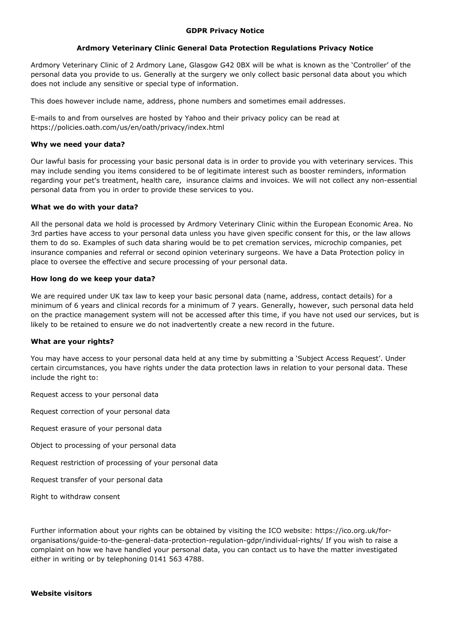### **GDPR Privacy Notice**

# **Ardmory Veterinary Clinic General Data Protection Regulations Privacy Notice**

Ardmory Veterinary Clinic of 2 Ardmory Lane, Glasgow G42 0BX will be what is known as the 'Controller' of the personal data you provide to us. Generally at the surgery we only collect basic personal data about you which does not include any sensitive or special type of information.

This does however include name, address, phone numbers and sometimes email addresses.

E-mails to and from ourselves are hosted by Yahoo and their privacy policy can be read at https://policies.oath.com/us/en/oath/privacy/index.html

## **Why we need your data?**

Our lawful basis for processing your basic personal data is in order to provide you with veterinary services. This may include sending you items considered to be of legitimate interest such as booster reminders, information regarding your pet's treatment, health care, insurance claims and invoices. We will not collect any non-essential personal data from you in order to provide these services to you.

## **What we do with your data?**

All the personal data we hold is processed by Ardmory Veterinary Clinic within the European Economic Area. No 3rd parties have access to your personal data unless you have given specific consent for this, or the law allows them to do so. Examples of such data sharing would be to pet cremation services, microchip companies, pet insurance companies and referral or second opinion veterinary surgeons. We have a Data Protection policy in place to oversee the effective and secure processing of your personal data.

## **How long do we keep your data?**

We are required under UK tax law to keep your basic personal data (name, address, contact details) for a minimum of 6 years and clinical records for a minimum of 7 years. Generally, however, such personal data held on the practice management system will not be accessed after this time, if you have not used our services, but is likely to be retained to ensure we do not inadvertently create a new record in the future.

### **What are your rights?**

You may have access to your personal data held at any time by submitting a 'Subject Access Request'. Under certain circumstances, you have rights under the data protection laws in relation to your personal data. These include the right to:

Request access to your personal data

Request correction of your personal data

Request erasure of your personal data

- Object to processing of your personal data
- Request restriction of processing of your personal data
- Request transfer of your personal data

Right to withdraw consent

Further information about your rights can be obtained by visiting the ICO website: https://ico.org.uk/fororganisations/guide-to-the-general-data-protection-regulation-gdpr/individual-rights/ If you wish to raise a complaint on how we have handled your personal data, you can contact us to have the matter investigated either in writing or by telephoning 0141 563 4788.